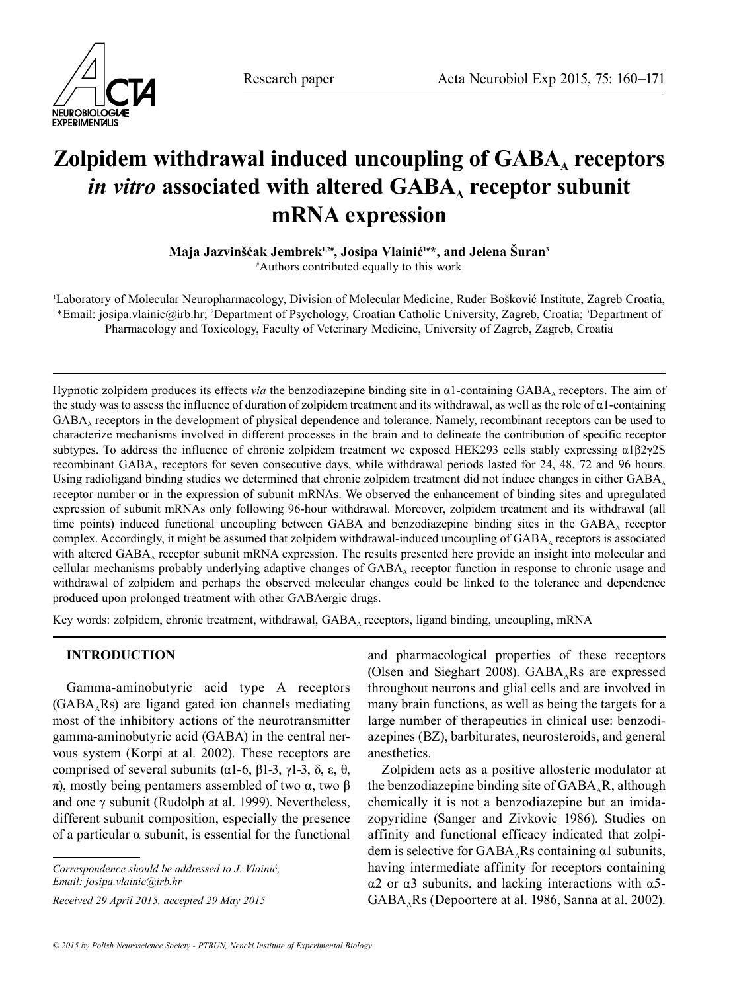

# Zolpidem withdrawal induced uncoupling of GABA, receptors *in vitro* associated with altered GABA<sub>A</sub> receptor subunit **mRNA expression**

**Maja Jazvinšćak Jembrek1,2#, Josipa Vlainić1#\*, and Jelena Šuran3**

# Authors contributed equally to this work

1 Laboratory of Molecular Neuropharmacology, Division of Molecular Medicine, Ruđer Bošković Institute, Zagreb Croatia, \*Email: josipa.vlainic@irb.hr; 2 Department of Psychology, Croatian Catholic University, Zagreb, Croatia; 3 Department of Pharmacology and Toxicology, Faculty of Veterinary Medicine, University of Zagreb, Zagreb, Croatia

Hypnotic zolpidem produces its effects *via* the benzodiazepine binding site in α1-containing GABAA receptors. The aim of the study was to assess the influence of duration of zolpidem treatment and its withdrawal, as well as the role of  $\alpha$ 1-containing GABAA receptors in the development of physical dependence and tolerance. Namely, recombinant receptors can be used to characterize mechanisms involved in different processes in the brain and to delineate the contribution of specific receptor subtypes. To address the influence of chronic zolpidem treatment we exposed HEK293 cells stably expressing  $\alpha$ 1β2γ2S recombinant GABA, receptors for seven consecutive days, while withdrawal periods lasted for 24, 48, 72 and 96 hours. Using radioligand binding studies we determined that chronic zolpidem treatment did not induce changes in either GABA, receptor number or in the expression of subunit mRNAs. We observed the enhancement of binding sites and upregulated expression of subunit mRNAs only following 96-hour withdrawal. Moreover, zolpidem treatment and its withdrawal (all time points) induced functional uncoupling between GABA and benzodiazepine binding sites in the GABA, receptor complex. Accordingly, it might be assumed that zolpidem withdrawal-induced uncoupling of GABA, receptors is associated with altered GABA<sub>A</sub> receptor subunit mRNA expression. The results presented here provide an insight into molecular and cellular mechanisms probably underlying adaptive changes of  $GABA<sub>A</sub>$  receptor function in response to chronic usage and withdrawal of zolpidem and perhaps the observed molecular changes could be linked to the tolerance and dependence produced upon prolonged treatment with other GABAergic drugs.

Key words: zolpidem, chronic treatment, withdrawal, GABA, receptors, ligand binding, uncoupling, mRNA

## **INTRODUCTION**

Gamma-aminobutyric acid type A receptors  $(GABA<sub>A</sub>Rs)$  are ligand gated ion channels mediating most of the inhibitory actions of the neurotransmitter gamma-aminobutyric acid (GABA) in the central nervous system (Korpi at al. 2002). These receptors are comprised of several subunits (α1-6, β1-3, γ1-3, δ, ε, θ, π), mostly being pentamers assembled of two  $α$ , two  $β$ and one γ subunit (Rudolph at al. 1999). Nevertheless, different subunit composition, especially the presence of a particular  $\alpha$  subunit, is essential for the functional

*Correspondence should be addressed to J. Vlainić, Email: josipa.vlainic@irb.hr*

*Received 29 April 2015, accepted 29 May 2015*

and pharmacological properties of these receptors (Olsen and Sieghart 2008).  $GABA<sub>A</sub>Rs$  are expressed throughout neurons and glial cells and are involved in many brain functions, as well as being the targets for a large number of therapeutics in clinical use: benzodiazepines (BZ), barbiturates, neurosteroids, and general anesthetics.

Zolpidem acts as a positive allosteric modulator at the benzodiazepine binding site of  $GABA_A R$ , although chemically it is not a benzodiazepine but an imidazopyridine (Sanger and Zivkovic 1986). Studies on affinity and functional efficacy indicated that zolpidem is selective for  $GABA<sub>a</sub>Rs$  containing  $\alpha$ 1 subunits, having intermediate affinity for receptors containing α2 or α3 subunits, and lacking interactions with α5- GABA<sub>A</sub>Rs (Depoortere at al. 1986, Sanna at al. 2002).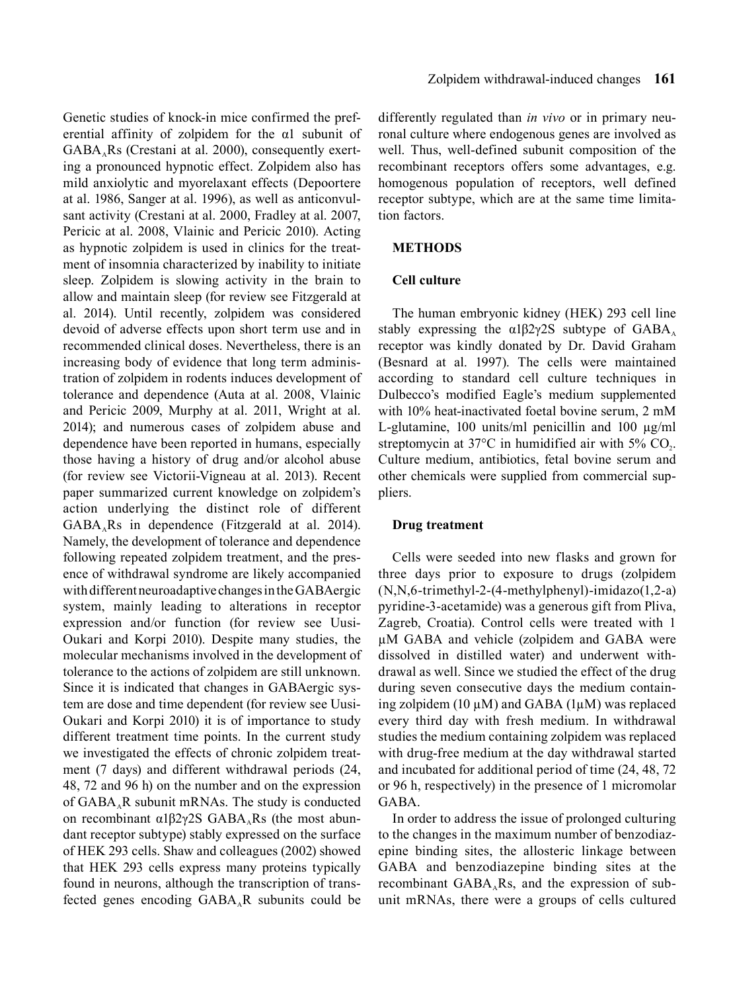Genetic studies of knock-in mice confirmed the preferential affinity of zolpidem for the α1 subunit of  $GABA<sub>a</sub>Rs$  (Crestani at al. 2000), consequently exerting a pronounced hypnotic effect. Zolpidem also has mild anxiolytic and myorelaxant effects (Depoortere at al. 1986, Sanger at al. 1996), as well as anticonvulsant activity (Crestani at al. 2000, Fradley at al. 2007, Pericic at al. 2008, Vlainic and Pericic 2010). Acting as hypnotic zolpidem is used in clinics for the treatment of insomnia characterized by inability to initiate sleep. Zolpidem is slowing activity in the brain to allow and maintain sleep (for review see Fitzgerald at al. 2014). Until recently, zolpidem was considered devoid of adverse effects upon short term use and in recommended clinical doses. Nevertheless, there is an increasing body of evidence that long term administration of zolpidem in rodents induces development of tolerance and dependence (Auta at al. 2008, Vlainic and Pericic 2009, Murphy at al. 2011, Wright at al. 2014); and numerous cases of zolpidem abuse and dependence have been reported in humans, especially those having a history of drug and/or alcohol abuse (for review see Victorii-Vigneau at al. 2013). Recent paper summarized current knowledge on zolpidem's action underlying the distinct role of different  $GABA<sub>a</sub>Rs$  in dependence (Fitzgerald at al. 2014). Namely, the development of tolerance and dependence following repeated zolpidem treatment, and the presence of withdrawal syndrome are likely accompanied with different neuroadaptive changes in the GABAergic system, mainly leading to alterations in receptor expression and/or function (for review see Uusi-Oukari and Korpi 2010). Despite many studies, the molecular mechanisms involved in the development of tolerance to the actions of zolpidem are still unknown. Since it is indicated that changes in GABAergic system are dose and time dependent (for review see Uusi-Oukari and Korpi 2010) it is of importance to study different treatment time points. In the current study we investigated the effects of chronic zolpidem treatment (7 days) and different withdrawal periods (24, 48, 72 and 96 h) on the number and on the expression of  $GABA<sub>A</sub>R$  subunit mRNAs. The study is conducted on recombinant  $α1β2γ2S GABA<sub>A</sub>Rs$  (the most abundant receptor subtype) stably expressed on the surface of HEK 293 cells. Shaw and colleagues (2002) showed that HEK 293 cells express many proteins typically found in neurons, although the transcription of transfected genes encoding  $GABA_A R$  subunits could be

differently regulated than *in vivo* or in primary neuronal culture where endogenous genes are involved as well. Thus, well-defined subunit composition of the recombinant receptors offers some advantages, e.g. homogenous population of receptors, well defined receptor subtype, which are at the same time limitation factors.

#### **METHODS**

#### **Cell culture**

The human embryonic kidney (HEK) 293 cell line stably expressing the  $\alpha$ 1β2γ2S subtype of GABA<sub>A</sub> receptor was kindly donated by Dr. David Graham (Besnard at al. 1997). The cells were maintained according to standard cell culture techniques in Dulbecco's modified Eagle's medium supplemented with 10% heat-inactivated foetal bovine serum, 2 mM L-glutamine, 100 units/ml penicillin and 100 µg/ml streptomycin at  $37^{\circ}$ C in humidified air with  $5\%$  CO<sub>2</sub>. Culture medium, antibiotics, fetal bovine serum and other chemicals were supplied from commercial suppliers.

#### **Drug treatment**

Cells were seeded into new flasks and grown for three days prior to exposure to drugs (zolpidem (N,N,6-trimethyl-2-(4-methylphenyl)-imidazo(1,2-a) pyridine-3-acetamide) was a generous gift from Pliva, Zagreb, Croatia). Control cells were treated with 1 µM GABA and vehicle (zolpidem and GABA were dissolved in distilled water) and underwent withdrawal as well. Since we studied the effect of the drug during seven consecutive days the medium containing zolpidem (10  $\mu$ M) and GABA (1 $\mu$ M) was replaced every third day with fresh medium. In withdrawal studies the medium containing zolpidem was replaced with drug-free medium at the day withdrawal started and incubated for additional period of time (24, 48, 72 or 96 h, respectively) in the presence of 1 micromolar GABA.

In order to address the issue of prolonged culturing to the changes in the maximum number of benzodiazepine binding sites, the allosteric linkage between GABA and benzodiazepine binding sites at the recombinant  $GABA<sub>A</sub>Rs$ , and the expression of subunit mRNAs, there were a groups of cells cultured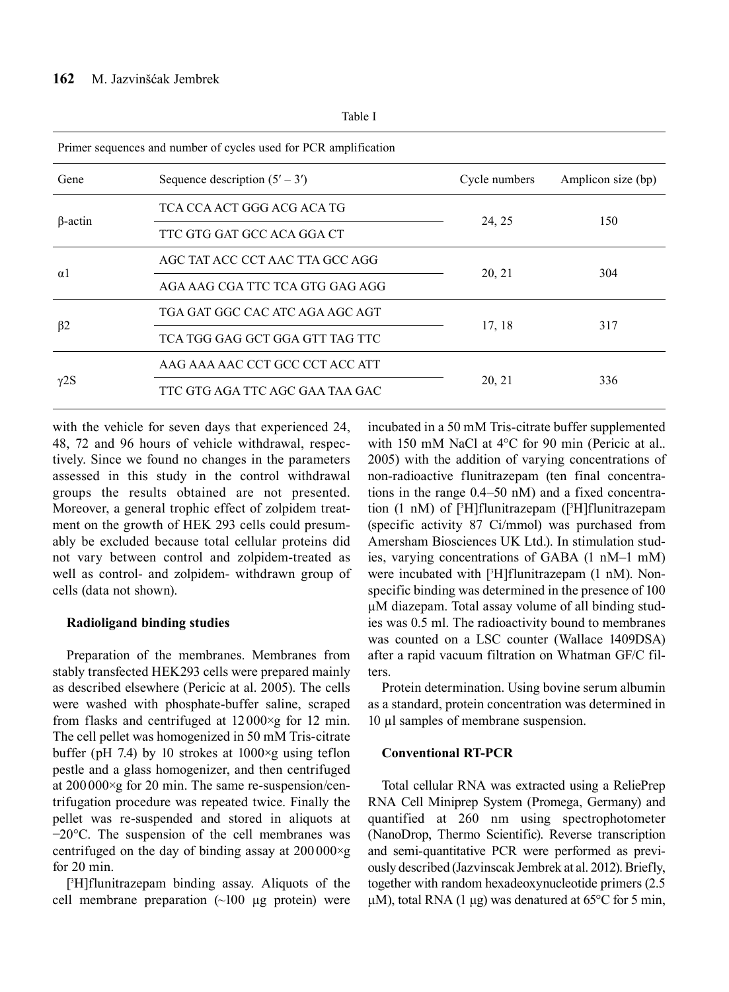| Primer sequences and number of cycles used for PCR amplification |               |                    |  |
|------------------------------------------------------------------|---------------|--------------------|--|
| Sequence description $(5' – 3')$                                 | Cycle numbers | Amplicon size (bp) |  |
| TCA CCA ACT GGG ACG ACA TG                                       | 24, 25        | 150                |  |
| TTC GTG GAT GCC ACA GGA CT                                       |               |                    |  |
| AGC TAT ACC CCT AAC TTA GCC AGG                                  | 20, 21        | 304                |  |
| AGA AAG CGA TTC TCA GTG GAG AGG                                  |               |                    |  |
| TGA GAT GGC CAC ATC AGA AGC AGT                                  | 17, 18        | 317                |  |
| TCA TGG GAG GCT GGA GTT TAG TTC                                  |               |                    |  |
| AAG AAA AAC CCT GCC CCT ACC ATT                                  | 20, 21        | 336                |  |
| TTC GTG AGA TTC AGC GAA TAA GAC                                  |               |                    |  |
|                                                                  | Tavit 1       |                    |  |

Table I

with the vehicle for seven days that experienced 24, 48, 72 and 96 hours of vehicle withdrawal, respectively. Since we found no changes in the parameters assessed in this study in the control withdrawal groups the results obtained are not presented. Moreover, a general trophic effect of zolpidem treatment on the growth of HEK 293 cells could presumably be excluded because total cellular proteins did not vary between control and zolpidem-treated as well as control- and zolpidem- withdrawn group of cells (data not shown).

### **Radioligand binding studies**

Preparation of the membranes. Membranes from stably transfected HEK293 cells were prepared mainly as described elsewhere (Pericic at al. 2005). The cells were washed with phosphate-buffer saline, scraped from flasks and centrifuged at 12000×g for 12 min. The cell pellet was homogenized in 50 mM Tris-citrate buffer (pH 7.4) by 10 strokes at  $1000 \times g$  using teflon pestle and a glass homogenizer, and then centrifuged at 200000×g for 20 min. The same re-suspension/centrifugation procedure was repeated twice. Finally the pellet was re-suspended and stored in aliquots at −20°C. The suspension of the cell membranes was centrifuged on the day of binding assay at  $200000 \times g$ for 20 min.

[ 3 H]flunitrazepam binding assay. Aliquots of the cell membrane preparation (~100 µg protein) were

incubated in a 50 mM Tris-citrate buffer supplemented with 150 mM NaCl at 4°C for 90 min (Pericic at al.. 2005) with the addition of varying concentrations of non-radioactive flunitrazepam (ten final concentrations in the range 0.4–50 nM) and a fixed concentration (1 nM) of [3 H]flunitrazepam ([<sup>3</sup> H]flunitrazepam (specific activity 87 Ci/mmol) was purchased from Amersham Biosciences UK Ltd.). In stimulation studies, varying concentrations of GABA (1 nM–1 mM) were incubated with [3 H]flunitrazepam (1 nM). Nonspecific binding was determined in the presence of 100 µM diazepam. Total assay volume of all binding studies was 0.5 ml. The radioactivity bound to membranes was counted on a LSC counter (Wallace 1409DSA) after a rapid vacuum filtration on Whatman GF/C filters.

Protein determination. Using bovine serum albumin as a standard, protein concentration was determined in 10 µl samples of membrane suspension.

### **Conventional RT-PCR**

Total cellular RNA was extracted using a ReliePrep RNA Cell Miniprep System (Promega, Germany) and quantified at 260 nm using spectrophotometer (NanoDrop, Thermo Scientific). Reverse transcription and semi-quantitative PCR were performed as previously described (Jazvinscak Jembrek at al. 2012). Briefly, together with random hexadeoxynucleotide primers (2.5 μM), total RNA (1 μg) was denatured at 65 $\degree$ C for 5 min,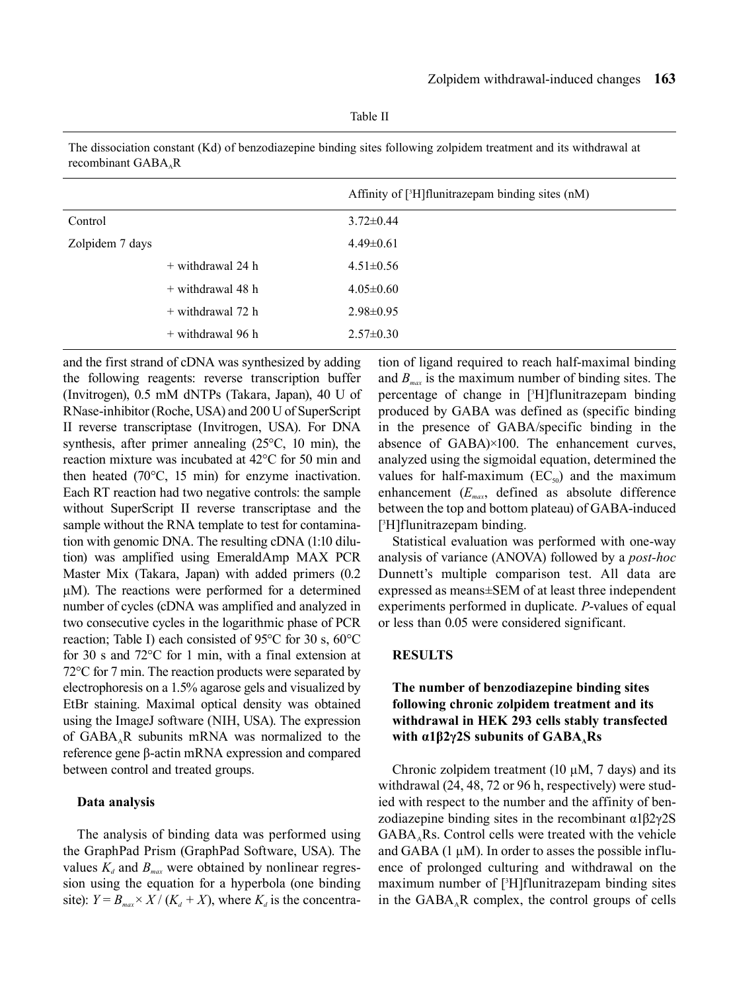Table II

The dissociation constant (Kd) of benzodiazepine binding sites following zolpidem treatment and its withdrawal at recombinant  $GABA<sub>A</sub>R$ 

|                 |                     | Affinity of [3H] flunitrazepam binding sites (nM) |
|-----------------|---------------------|---------------------------------------------------|
| Control         |                     | $3.72 \pm 0.44$                                   |
| Zolpidem 7 days |                     | $4.49\pm0.61$                                     |
|                 | $+$ withdrawal 24 h | $4.51 \pm 0.56$                                   |
|                 | $+$ withdrawal 48 h | $4.05 \pm 0.60$                                   |
|                 | $+$ withdrawal 72 h | $2.98 \pm 0.95$                                   |
|                 | + withdrawal 96 h   | $2.57 \pm 0.30$                                   |

and the first strand of cDNA was synthesized by adding the following reagents: reverse transcription buffer (Invitrogen), 0.5 mM dNTPs (Takara, Japan), 40 U of RNase-inhibitor (Roche, USA) and 200 U of SuperScript ІІ reverse transcriptase (Invitrogen, USA). For DNA synthesis, after primer annealing (25°C, 10 min), the reaction mixture was incubated at 42°C for 50 min and then heated (70°C, 15 min) for enzyme inactivation. Each RT reaction had two negative controls: the sample without SuperScript ІІ reverse transcriptase and the sample without the RNA template to test for contamination with genomic DNA. The resulting cDNA (1:10 dilution) was amplified using EmeraldAmp MAX PCR Master Mix (Takara, Japan) with added primers (0.2 μM). The reactions were performed for a determined number of cycles (cDNA was amplified and analyzed in two consecutive cycles in the logarithmic phase of PCR reaction; Table I) each consisted of 95°C for 30 s, 60°C for 30 s and 72°C for 1 min, with a final extension at 72°C for 7 min. The reaction products were separated by electrophoresis on a 1.5% agarose gels and visualized by EtBr staining. Maximal optical density was obtained using the ImageJ software (NIH, USA). The expression of  $GABA<sub>A</sub>R$  subunits mRNA was normalized to the reference gene β-actin mRNA expression and compared between control and treated groups.

#### **Data analysis**

The analysis of binding data was performed using the GraphPad Prism (GraphPad Software, USA). The values  $K_d$  and  $B_{max}$  were obtained by nonlinear regression using the equation for a hyperbola (one binding site):  $Y = B_{max} \times X / (K_d + X)$ , where  $K_d$  is the concentration of ligand required to reach half-maximal binding and  $B_{\text{max}}$  is the maximum number of binding sites. The percentage of change in [3 H]flunitrazepam binding produced by GABA was defined as (specific binding in the presence of GABA/specific binding in the absence of GABA)×100. The enhancement curves, analyzed using the sigmoidal equation, determined the values for half-maximum  $(EC_{50})$  and the maximum enhancement (*Emax*, defined as absolute difference between the top and bottom plateau) of GABA-induced [ 3 H]flunitrazepam binding.

Statistical evaluation was performed with one-way analysis of variance (ANOVA) followed by a *post-hoc* Dunnett's multiple comparison test. All data are expressed as means±SEM of at least three independent experiments performed in duplicate. *P*-values of equal or less than 0.05 were considered significant.

## **RESULTS**

## **The number of benzodiazepine binding sites following chronic zolpidem treatment and its withdrawal in HEK 293 cells stably transfected**  with α1β2γ2S subunits of GABA<sub>A</sub>Rs

Chronic zolpidem treatment (10 μM, 7 days) and its withdrawal (24, 48, 72 or 96 h, respectively) were studied with respect to the number and the affinity of benzodiazepine binding sites in the recombinant α1β2γ2S  $GABA<sub>a</sub>Rs$ . Control cells were treated with the vehicle and GABA (1  $\mu$ M). In order to asses the possible influence of prolonged culturing and withdrawal on the maximum number of [3 H]flunitrazepam binding sites in the  $GABA_A R$  complex, the control groups of cells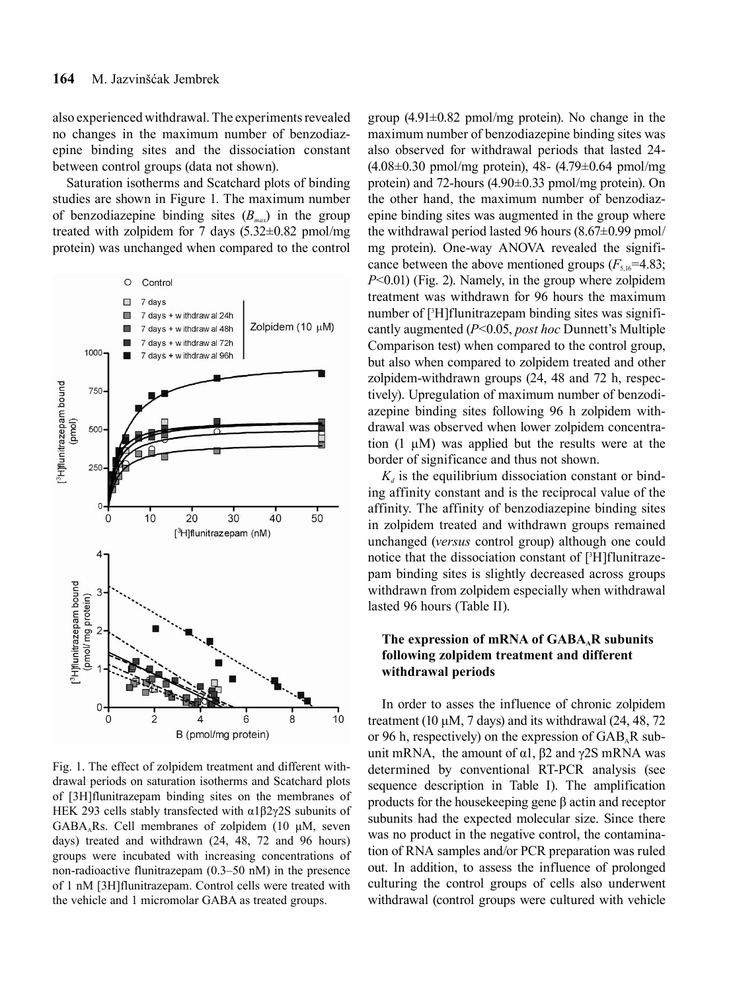also experienced withdrawal. The experiments revealed no changes in the maximum number of benzodiazepine binding sites and the dissociation constant between control groups (data not shown).

Saturation isotherms and Scatchard plots of binding studies are shown in Figure 1. The maximum number of benzodiazepine binding sites  $(B_{max})$  in the group treated with zolpidem for 7 days  $(5.32 \pm 0.82 \text{ pmol/mg})$ protein) was unchanged when compared to the control



Fig. 1. The effect of zolpidem treatment and different withdrawal periods on saturation isotherms and Scatchard plots of [3H]flunitrazepam binding sites on the membranes of HEK 293 cells stably transfected with α1β2γ2S subunits of  $GABA<sub>A</sub>Rs.$  Cell membranes of zolpidem (10  $\mu$ M, seven days) treated and withdrawn (24, 48, 72 and 96 hours) groups were incubated with increasing concentrations of non-radioactive flunitrazepam (0.3–50 nM) in the presence of 1 nM [3H]flunitrazepam. Control cells were treated with the vehicle and 1 micromolar GABA as treated groups.

group  $(4.91\pm0.82 \text{ pmol/mg protein})$ . No change in the maximum number of benzodiazepine binding sites was also observed for withdrawal periods that lasted 24- (4.08±0.30 pmol/mg protein), 48- (4.79±0.64 pmol/mg protein) and 72-hours (4.90±0.33 pmol/mg protein). On the other hand, the maximum number of benzodiazepine binding sites was augmented in the group where the withdrawal period lasted 96 hours  $(8.67\pm0.99 \text{ pmol})$ mg protein). One-way ANOVA revealed the significance between the above mentioned groups  $(F_{5,16}=4.83;$ *P*<0.01) (Fig. 2). Namely, in the group where zolpidem treatment was withdrawn for 96 hours the maximum number of [3 H]flunitrazepam binding sites was significantly augmented (*P*<0.05, *post hoc* Dunnett's Multiple Comparison test) when compared to the control group, but also when compared to zolpidem treated and other zolpidem-withdrawn groups (24, 48 and 72 h, respectively). Upregulation of maximum number of benzodiazepine binding sites following 96 h zolpidem withdrawal was observed when lower zolpidem concentration (1 μM) was applied but the results were at the border of significance and thus not shown.

 $K_d$  is the equilibrium dissociation constant or binding affinity constant and is the reciprocal value of the affinity. The affinity of benzodiazepine binding sites in zolpidem treated and withdrawn groups remained unchanged (*versus* control group) although one could notice that the dissociation constant of [3 H]flunitrazepam binding sites is slightly decreased across groups withdrawn from zolpidem especially when withdrawal lasted 96 hours (Table II).

## The expression of mRNA of GABA<sub>A</sub>R subunits **following zolpidem treatment and different withdrawal periods**

In order to asses the influence of chronic zolpidem treatment (10  $\mu$ M, 7 days) and its withdrawal (24, 48, 72) or 96 h, respectively) on the expression of  $GAB<sub>A</sub>R$  subunit mRNA, the amount of α1,  $β2$  and γ2S mRNA was determined by conventional RT-PCR analysis (see sequence description in Table I). The amplification products for the housekeeping gene β actin and receptor subunits had the expected molecular size. Since there was no product in the negative control, the contamination of RNA samples and/or PCR preparation was ruled out. In addition, to assess the influence of prolonged culturing the control groups of cells also underwent withdrawal (control groups were cultured with vehicle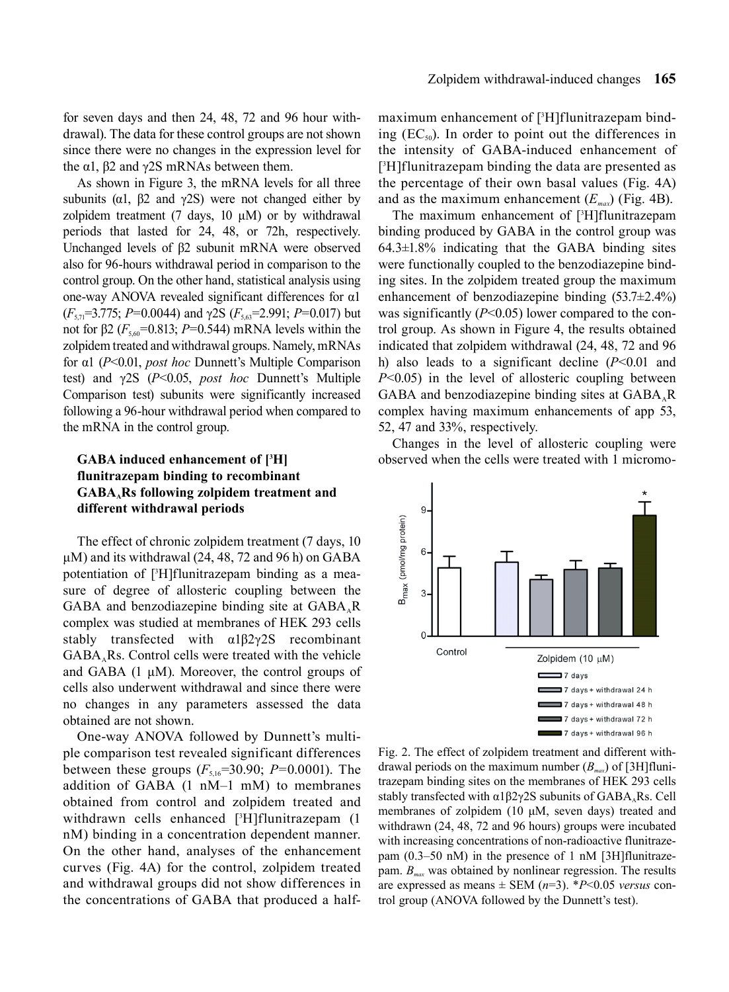for seven days and then 24, 48, 72 and 96 hour withdrawal). The data for these control groups are not shown since there were no changes in the expression level for the α1,  $β2$  and  $γ2S$  mRNAs between them.

As shown in Figure 3, the mRNA levels for all three subunits ( $\alpha$ 1,  $\beta$ 2 and  $\gamma$ 2S) were not changed either by zolpidem treatment (7 days,  $10 \mu M$ ) or by withdrawal periods that lasted for 24, 48, or 72h, respectively. Unchanged levels of β2 subunit mRNA were observed also for 96-hours withdrawal period in comparison to the control group. On the other hand, statistical analysis using one-way ANOVA revealed significant differences for α1 (*F*5,71=3.775; *P*=0.0044) and γ2S (*F*5,63=2.991; *P*=0.017) but not for β2 ( $F_{5.60}$ =0.813; *P*=0.544) mRNA levels within the zolpidem treated and withdrawal groups. Namely, mRNAs for α1 (*P*<0.01, *post hoc* Dunnett's Multiple Comparison test) and γ2S (*P*<0.05, *post hoc* Dunnett's Multiple Comparison test) subunits were significantly increased following a 96-hour withdrawal period when compared to the mRNA in the control group.

## **GABA induced enhancement of [3 H] flunitrazepam binding to recombinant GABAARs following zolpidem treatment and different withdrawal periods**

The effect of chronic zolpidem treatment (7 days, 10  $\mu$ M) and its withdrawal (24, 48, 72 and 96 h) on GABA potentiation of [3 H]flunitrazepam binding as a measure of degree of allosteric coupling between the GABA and benzodiazepine binding site at  $GABA<sub>a</sub>R$ complex was studied at membranes of HEK 293 cells stably transfected with α1β2γ2S recombinant  $GABA<sub>A</sub>Rs.$  Control cells were treated with the vehicle and GABA (1 μM). Moreover, the control groups of cells also underwent withdrawal and since there were no changes in any parameters assessed the data obtained are not shown.

One-way ANOVA followed by Dunnett's multiple comparison test revealed significant differences between these groups  $(F_{5,16}=30.90; P=0.0001)$ . The addition of GABA (1 nM–1 mM) to membranes obtained from control and zolpidem treated and withdrawn cells enhanced [3 H]flunitrazepam (1 nM) binding in a concentration dependent manner. On the other hand, analyses of the enhancement curves (Fig. 4A) for the control, zolpidem treated and withdrawal groups did not show differences in the concentrations of GABA that produced a half-

maximum enhancement of [3 H]flunitrazepam binding  $(EC_{50})$ . In order to point out the differences in the intensity of GABA-induced enhancement of [ 3 H]flunitrazepam binding the data are presented as the percentage of their own basal values (Fig. 4A) and as the maximum enhancement  $(E_{max})$  (Fig. 4B).

The maximum enhancement of [3 H]flunitrazepam binding produced by GABA in the control group was  $64.3\pm1.8\%$  indicating that the GABA binding sites were functionally coupled to the benzodiazepine binding sites. In the zolpidem treated group the maximum enhancement of benzodiazepine binding (53.7±2.4%) was significantly (*P*<0.05) lower compared to the control group. As shown in Figure 4, the results obtained indicated that zolpidem withdrawal (24, 48, 72 and 96 h) also leads to a significant decline (*P*<0.01 and *P*<0.05) in the level of allosteric coupling between GABA and benzodiazepine binding sites at  $GABA<sub>a</sub>R$ complex having maximum enhancements of app 53, 52, 47 and 33%, respectively.

Changes in the level of allosteric coupling were observed when the cells were treated with 1 micromo-



Fig. 2. The effect of zolpidem treatment and different withdrawal periods on the maximum number  $(B_{mn})$  of [3H]flunitrazepam binding sites on the membranes of HEK 293 cells stably transfected with  $\alpha$ 1 $\beta$ 2 $\gamma$ 2S subunits of GABA, Rs. Cell membranes of zolpidem (10 μM, seven days) treated and withdrawn (24, 48, 72 and 96 hours) groups were incubated with increasing concentrations of non-radioactive flunitrazepam (0.3–50 nM) in the presence of 1 nM [3H]flunitrazepam.  $B_{\text{max}}$  was obtained by nonlinear regression. The results are expressed as means  $\pm$  SEM ( $n=3$ ). \* $P<0.05$  *versus* control group (ANOVA followed by the Dunnett's test).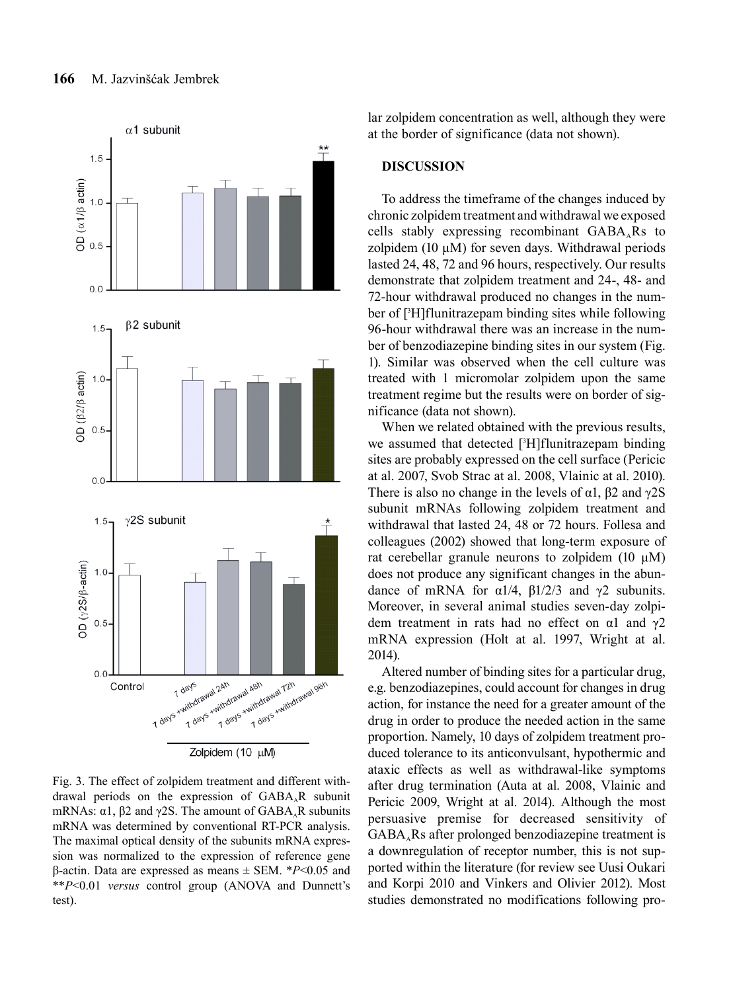

Fig. 3. The effect of zolpidem treatment and different withdrawal periods on the expression of GABA.R subunit mRNAs:  $\alpha$ 1,  $\beta$ 2 and  $\gamma$ 2S. The amount of GABA<sub>A</sub>R subunits mRNA was determined by conventional RT-PCR analysis. The maximal optical density of the subunits mRNA expression was normalized to the expression of reference gene β-actin. Data are expressed as means ± SEM. \**P*<0.05 and \*\**P*<0.01 *versus* control group (ANOVA and Dunnett's test).

lar zolpidem concentration as well, although they were at the border of significance (data not shown).

## **DISCUSSION**

To address the timeframe of the changes induced by chronic zolpidem treatment and withdrawal we exposed cells stably expressing recombinant  $GABA<sub>a</sub>Rs$  to zolpidem (10 μM) for seven days. Withdrawal periods lasted 24, 48, 72 and 96 hours, respectively. Our results demonstrate that zolpidem treatment and 24-, 48- and 72-hour withdrawal produced no changes in the number of [3 H]flunitrazepam binding sites while following 96-hour withdrawal there was an increase in the number of benzodiazepine binding sites in our system (Fig. 1). Similar was observed when the cell culture was treated with 1 micromolar zolpidem upon the same treatment regime but the results were on border of significance (data not shown).

When we related obtained with the previous results, we assumed that detected [3 H]flunitrazepam binding sites are probably expressed on the cell surface (Pericic at al. 2007, Svob Strac at al. 2008, Vlainic at al. 2010). There is also no change in the levels of  $\alpha$ 1,  $\beta$ 2 and  $\gamma$ 2S subunit mRNAs following zolpidem treatment and withdrawal that lasted 24, 48 or 72 hours. Follesa and colleagues (2002) showed that long-term exposure of rat cerebellar granule neurons to zolpidem (10  $\mu$ M) does not produce any significant changes in the abundance of mRNA for  $\alpha$ 1/4,  $\beta$ 1/2/3 and  $\gamma$ 2 subunits. Moreover, in several animal studies seven-day zolpidem treatment in rats had no effect on  $\alpha$ 1 and  $\gamma$ 2 mRNA expression (Holt at al. 1997, Wright at al. 2014).

Altered number of binding sites for a particular drug, e.g. benzodiazepines, could account for changes in drug action, for instance the need for a greater amount of the drug in order to produce the needed action in the same proportion. Namely, 10 days of zolpidem treatment produced tolerance to its anticonvulsant, hypothermic and ataxic effects as well as withdrawal-like symptoms after drug termination (Auta at al. 2008, Vlainic and Pericic 2009, Wright at al. 2014). Although the most persuasive premise for decreased sensitivity of  $GABA<sub>a</sub>Rs$  after prolonged benzodiazepine treatment is a downregulation of receptor number, this is not supported within the literature (for review see Uusi Oukari and Korpi 2010 and Vinkers and Olivier 2012). Most studies demonstrated no modifications following pro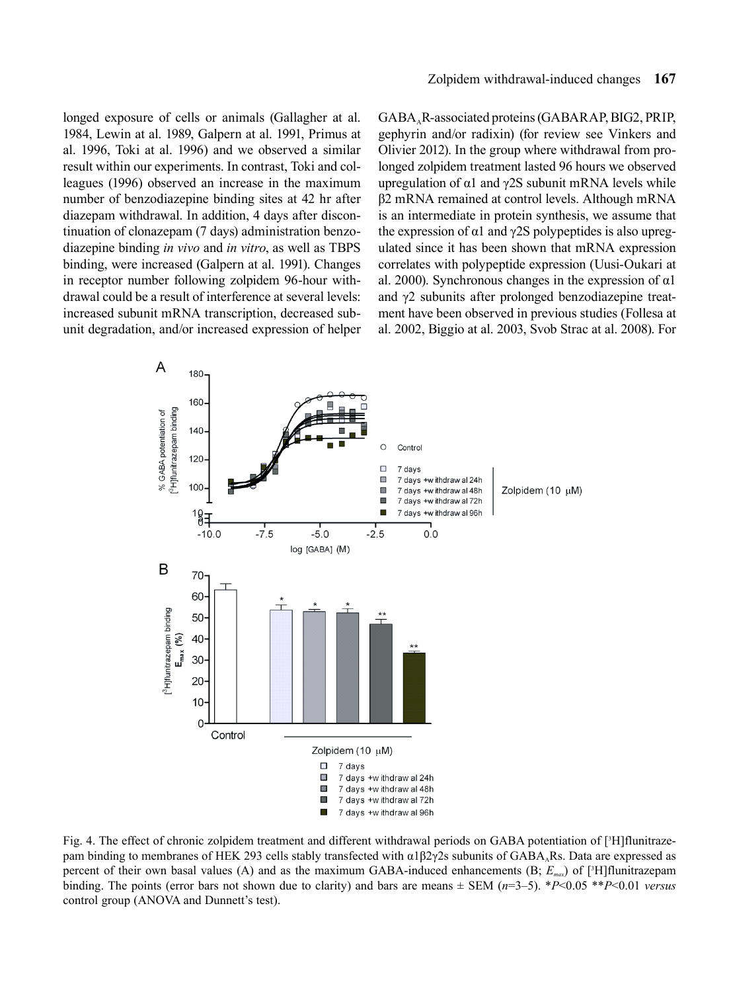longed exposure of cells or animals (Gallagher at al. 1984, Lewin at al. 1989, Galpern at al. 1991, Primus at al. 1996, Toki at al. 1996) and we observed a similar result within our experiments. In contrast, Toki and colleagues (1996) observed an increase in the maximum number of benzodiazepine binding sites at 42 hr after diazepam withdrawal. In addition, 4 days after discontinuation of clonazepam (7 days) administration benzodiazepine binding *in vivo* and *in vitro*, as well as TBPS binding, were increased (Galpern at al. 1991). Changes in receptor number following zolpidem 96-hour withdrawal could be a result of interference at several levels: increased subunit mRNA transcription, decreased subunit degradation, and/or increased expression of helper GABAAR-associated proteins (GABARAP, BIG2, PRIP, gephyrin and/or radixin) (for review see Vinkers and Olivier 2012). In the group where withdrawal from prolonged zolpidem treatment lasted 96 hours we observed upregulation of  $α1$  and  $γ2S$  subunit mRNA levels while β2 mRNA remained at control levels. Although mRNA is an intermediate in protein synthesis, we assume that the expression of  $\alpha$ 1 and  $\gamma$ 2S polypeptides is also upregulated since it has been shown that mRNA expression correlates with polypeptide expression (Uusi-Oukari at al. 2000). Synchronous changes in the expression of  $\alpha$ 1 and γ2 subunits after prolonged benzodiazepine treatment have been observed in previous studies (Follesa at al. 2002, Biggio at al. 2003, Svob Strac at al. 2008). For



Fig. 4. The effect of chronic zolpidem treatment and different withdrawal periods on GABA potentiation of [3H]flunitrazepam binding to membranes of HEK 293 cells stably transfected with  $\alpha$ 1β2γ2s subunits of GABA<sub>A</sub>Rs. Data are expressed as percent of their own basal values (A) and as the maximum GABA-induced enhancements (B; *Emax*) of [3 H]flunitrazepam binding. The points (error bars not shown due to clarity) and bars are means ± SEM (*n*=3–5). \**P*<0.05 \*\**P*<0.01 *versus* control group (ANOVA and Dunnett's test).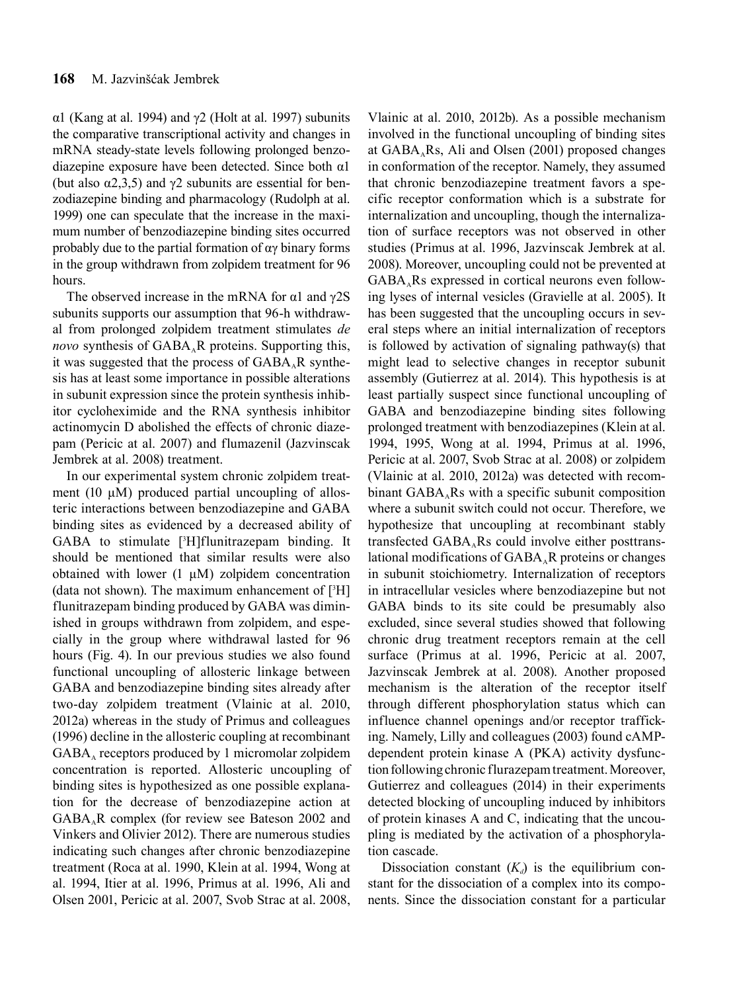α1 (Kang at al. 1994) and γ2 (Holt at al. 1997) subunits the comparative transcriptional activity and changes in mRNA steady-state levels following prolonged benzodiazepine exposure have been detected. Since both α1 (but also  $\alpha$ 2,3,5) and  $\gamma$ 2 subunits are essential for benzodiazepine binding and pharmacology (Rudolph at al. 1999) one can speculate that the increase in the maximum number of benzodiazepine binding sites occurred probably due to the partial formation of  $\alpha$ <sup>y</sup> binary forms in the group withdrawn from zolpidem treatment for 96 hours.

The observed increase in the mRNA for  $\alpha$ 1 and  $\gamma$ 2S subunits supports our assumption that 96-h withdrawal from prolonged zolpidem treatment stimulates *de novo* synthesis of GABA<sub>A</sub>R proteins. Supporting this, it was suggested that the process of  $GABA<sub>A</sub>R$  synthesis has at least some importance in possible alterations in subunit expression since the protein synthesis inhibitor cycloheximide and the RNA synthesis inhibitor actinomycin D abolished the effects of chronic diazepam (Pericic at al. 2007) and flumazenil (Jazvinscak Jembrek at al. 2008) treatment.

In our experimental system chronic zolpidem treatment (10  $\mu$ M) produced partial uncoupling of allosteric interactions between benzodiazepine and GABA binding sites as evidenced by a decreased ability of GABA to stimulate [3 H]flunitrazepam binding. It should be mentioned that similar results were also obtained with lower (1 μM) zolpidem concentration (data not shown). The maximum enhancement of [3 H] flunitrazepam binding produced by GABA was diminished in groups withdrawn from zolpidem, and especially in the group where withdrawal lasted for 96 hours (Fig. 4). In our previous studies we also found functional uncoupling of allosteric linkage between GABA and benzodiazepine binding sites already after two-day zolpidem treatment (Vlainic at al. 2010, 2012a) whereas in the study of Primus and colleagues (1996) decline in the allosteric coupling at recombinant  $GABA_A$  receptors produced by 1 micromolar zolpidem concentration is reported. Allosteric uncoupling of binding sites is hypothesized as one possible explanation for the decrease of benzodiazepine action at  $GABA<sub>A</sub>R$  complex (for review see Bateson 2002 and Vinkers and Olivier 2012). There are numerous studies indicating such changes after chronic benzodiazepine treatment (Roca at al. 1990, Klein at al. 1994, Wong at al. 1994, Itier at al. 1996, Primus at al. 1996, Ali and Olsen 2001, Pericic at al. 2007, Svob Strac at al. 2008,

Vlainic at al. 2010, 2012b). As a possible mechanism involved in the functional uncoupling of binding sites at  $GABA<sub>A</sub>Rs$ , Ali and Olsen (2001) proposed changes in conformation of the receptor. Namely, they assumed that chronic benzodiazepine treatment favors a specific receptor conformation which is a substrate for internalization and uncoupling, though the internalization of surface receptors was not observed in other studies (Primus at al. 1996, Jazvinscak Jembrek at al. 2008). Moreover, uncoupling could not be prevented at  $GABA<sub>A</sub>Rs$  expressed in cortical neurons even following lyses of internal vesicles (Gravielle at al. 2005). It has been suggested that the uncoupling occurs in several steps where an initial internalization of receptors is followed by activation of signaling pathway(s) that might lead to selective changes in receptor subunit assembly (Gutierrez at al. 2014). This hypothesis is at least partially suspect since functional uncoupling of GABA and benzodiazepine binding sites following prolonged treatment with benzodiazepines (Klein at al. 1994, 1995, Wong at al. 1994, Primus at al. 1996, Pericic at al. 2007, Svob Strac at al. 2008) or zolpidem (Vlainic at al. 2010, 2012a) was detected with recombinant  $GABA<sub>a</sub>Rs$  with a specific subunit composition where a subunit switch could not occur. Therefore, we hypothesize that uncoupling at recombinant stably transfected  $GABA<sub>A</sub>$ Rs could involve either posttranslational modifications of  $GABA_A R$  proteins or changes in subunit stoichiometry. Internalization of receptors in intracellular vesicles where benzodiazepine but not GABA binds to its site could be presumably also excluded, since several studies showed that following chronic drug treatment receptors remain at the cell surface (Primus at al. 1996, Pericic at al. 2007, Jazvinscak Jembrek at al. 2008). Another proposed mechanism is the alteration of the receptor itself through different phosphorylation status which can influence channel openings and/or receptor trafficking. Namely, Lilly and colleagues (2003) found cAMPdependent protein kinase A (PKA) activity dysfunction following chronic flurazepam treatment. Moreover, Gutierrez and colleagues (2014) in their experiments detected blocking of uncoupling induced by inhibitors of protein kinases A and C, indicating that the uncoupling is mediated by the activation of a phosphorylation cascade.

Dissociation constant  $(K_d)$  is the equilibrium constant for the dissociation of a complex into its components. Since the dissociation constant for a particular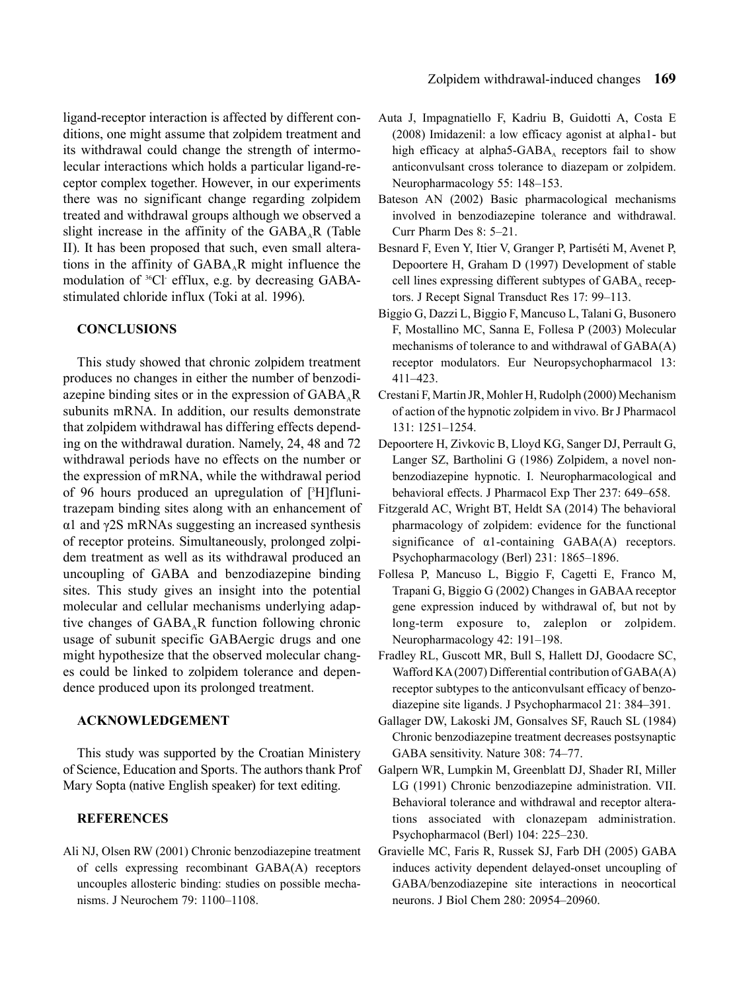ligand-receptor interaction is affected by different conditions, one might assume that zolpidem treatment and its withdrawal could change the strength of intermolecular interactions which holds a particular ligand-receptor complex together. However, in our experiments there was no significant change regarding zolpidem treated and withdrawal groups although we observed a slight increase in the affinity of the  $GABA<sub>a</sub>R$  (Table II). It has been proposed that such, even small alterations in the affinity of  $GABA<sub>a</sub>R$  might influence the modulation of <sup>36</sup>Cl efflux, e.g. by decreasing GABAstimulated chloride influx (Toki at al. 1996).

## **CONCLUSIONS**

This study showed that chronic zolpidem treatment produces no changes in either the number of benzodiazepine binding sites or in the expression of  $GABA<sub>A</sub>R$ subunits mRNA. In addition, our results demonstrate that zolpidem withdrawal has differing effects depending on the withdrawal duration. Namely, 24, 48 and 72 withdrawal periods have no effects on the number or the expression of mRNA, while the withdrawal period of 96 hours produced an upregulation of [3 H]flunitrazepam binding sites along with an enhancement of α1 and γ2S mRNAs suggesting an increased synthesis of receptor proteins. Simultaneously, prolonged zolpidem treatment as well as its withdrawal produced an uncoupling of GABA and benzodiazepine binding sites. This study gives an insight into the potential molecular and cellular mechanisms underlying adaptive changes of  $GABA_A R$  function following chronic usage of subunit specific GABAergic drugs and one might hypothesize that the observed molecular changes could be linked to zolpidem tolerance and dependence produced upon its prolonged treatment.

### **ACKNOWLEDGEMENT**

This study was supported by the Croatian Ministery of Science, Education and Sports. The authors thank Prof Mary Sopta (native English speaker) for text editing.

## **REFERENCES**

Ali NJ, Olsen RW (2001) Chronic benzodiazepine treatment of cells expressing recombinant GABA(A) receptors uncouples allosteric binding: studies on possible mechanisms. J Neurochem 79: 1100–1108.

- Auta J, Impagnatiello F, Kadriu B, Guidotti A, Costa E (2008) Imidazenil: a low efficacy agonist at alpha1- but high efficacy at alpha5-GABA $_A$  receptors fail to show anticonvulsant cross tolerance to diazepam or zolpidem. Neuropharmacology 55: 148–153.
- Bateson AN (2002) Basic pharmacological mechanisms involved in benzodiazepine tolerance and withdrawal. Curr Pharm Des 8: 5–21.
- Besnard F, Even Y, Itier V, Granger P, Partiséti M, Avenet P, Depoortere H, Graham D (1997) Development of stable cell lines expressing different subtypes of  $GABA_A$  receptors. J Recept Signal Transduct Res 17: 99–113.
- Biggio G, Dazzi L, Biggio F, Mancuso L, Talani G, Busonero F, Mostallino MC, Sanna E, Follesa P (2003) Molecular mechanisms of tolerance to and withdrawal of GABA(A) receptor modulators. Eur Neuropsychopharmacol 13: 411–423.
- Crestani F, Martin JR, Mohler H, Rudolph (2000) Mechanism of action of the hypnotic zolpidem in vivo. Br J Pharmacol 131: 1251–1254.
- Depoortere H, Zivkovic B, Lloyd KG, Sanger DJ, Perrault G, Langer SZ, Bartholini G (1986) Zolpidem, a novel nonbenzodiazepine hypnotic. I. Neuropharmacological and behavioral effects. J Pharmacol Exp Ther 237: 649–658.
- Fitzgerald AC, Wright BT, Heldt SA (2014) The behavioral pharmacology of zolpidem: evidence for the functional significance of α1-containing GABA(A) receptors. Psychopharmacology (Berl) 231: 1865–1896.
- Follesa P, Mancuso L, Biggio F, Cagetti E, Franco M, Trapani G, Biggio G (2002) Changes in GABAA receptor gene expression induced by withdrawal of, but not by long-term exposure to, zaleplon or zolpidem. Neuropharmacology 42: 191–198.
- Fradley RL, Guscott MR, Bull S, Hallett DJ, Goodacre SC, Wafford KA (2007) Differential contribution of GABA(A) receptor subtypes to the anticonvulsant efficacy of benzodiazepine site ligands. J Psychopharmacol 21: 384–391.
- Gallager DW, Lakoski JM, Gonsalves SF, Rauch SL (1984) Chronic benzodiazepine treatment decreases postsynaptic GABA sensitivity. Nature 308: 74–77.
- Galpern WR, Lumpkin M, Greenblatt DJ, Shader RI, Miller LG (1991) Chronic benzodiazepine administration. VII. Behavioral tolerance and withdrawal and receptor alterations associated with clonazepam administration. Psychopharmacol (Berl) 104: 225–230.
- Gravielle MC, Faris R, Russek SJ, Farb DH (2005) GABA induces activity dependent delayed-onset uncoupling of GABA/benzodiazepine site interactions in neocortical neurons. J Biol Chem 280: 20954–20960.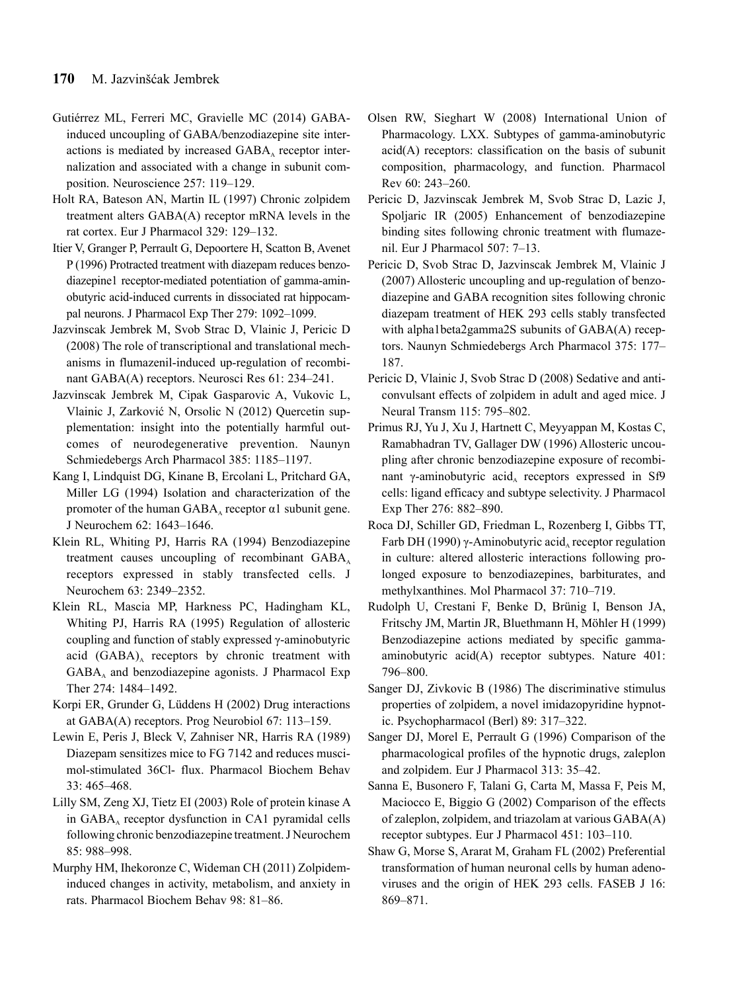- Gutiérrez ML, Ferreri MC, Gravielle MC (2014) GABAinduced uncoupling of GABA/benzodiazepine site interactions is mediated by increased  $GABA_A$  receptor internalization and associated with a change in subunit composition. Neuroscience 257: 119–129.
- Holt RA, Bateson AN, Martin IL (1997) Chronic zolpidem treatment alters GABA(A) receptor mRNA levels in the rat cortex. Eur J Pharmacol 329: 129–132.
- Itier V, Granger P, Perrault G, Depoortere H, Scatton B, Avenet P (1996) Protracted treatment with diazepam reduces benzodiazepine1 receptor-mediated potentiation of gamma-aminobutyric acid-induced currents in dissociated rat hippocampal neurons. J Pharmacol Exp Ther 279: 1092–1099.
- Jazvinscak Jembrek M, Svob Strac D, Vlainic J, Pericic D (2008) The role of transcriptional and translational mechanisms in flumazenil-induced up-regulation of recombinant GABA(A) receptors. Neurosci Res 61: 234–241.
- Jazvinscak Jembrek M, Cipak Gasparovic A, Vukovic L, Vlainic J, Zarković N, Orsolic N (2012) Quercetin supplementation: insight into the potentially harmful outcomes of neurodegenerative prevention. Naunyn Schmiedebergs Arch Pharmacol 385: 1185–1197.
- Kang I, Lindquist DG, Kinane B, Ercolani L, Pritchard GA, Miller LG (1994) Isolation and characterization of the promoter of the human GABA<sub>λ</sub> receptor  $α1$  subunit gene. J Neurochem 62: 1643–1646.
- Klein RL, Whiting PJ, Harris RA (1994) Benzodiazepine treatment causes uncoupling of recombinant  $GABA_A$ receptors expressed in stably transfected cells. J Neurochem 63: 2349–2352.
- Klein RL, Mascia MP, Harkness PC, Hadingham KL, Whiting PJ, Harris RA (1995) Regulation of allosteric coupling and function of stably expressed γ-aminobutyric acid  $(GABA)$ <sub>A</sub> receptors by chronic treatment with  $GABA_A$  and benzodiazepine agonists. J Pharmacol Exp Ther 274: 1484–1492.
- Korpi ER, Grunder G, Lüddens H (2002) Drug interactions at GABA(A) receptors. Prog Neurobiol 67: 113–159.
- Lewin E, Peris J, Bleck V, Zahniser NR, Harris RA (1989) Diazepam sensitizes mice to FG 7142 and reduces muscimol-stimulated 36Cl- flux. Pharmacol Biochem Behav 33: 465–468.
- Lilly SM, Zeng XJ, Tietz EI (2003) Role of protein kinase A in  $GABA_A$  receptor dysfunction in CA1 pyramidal cells following chronic benzodiazepine treatment. J Neurochem 85: 988–998.
- Murphy HM, Ihekoronze C, Wideman CH (2011) Zolpideminduced changes in activity, metabolism, and anxiety in rats. Pharmacol Biochem Behav 98: 81–86.
- Olsen RW, Sieghart W (2008) International Union of Pharmacology. LXX. Subtypes of gamma-aminobutyric acid(A) receptors: classification on the basis of subunit composition, pharmacology, and function. Pharmacol Rev 60: 243–260.
- Pericic D, Jazvinscak Jembrek M, Svob Strac D, Lazic J, Spoljaric IR (2005) Enhancement of benzodiazepine binding sites following chronic treatment with flumazenil. Eur J Pharmacol 507: 7–13.
- Pericic D, Svob Strac D, Jazvinscak Jembrek M, Vlainic J (2007) Allosteric uncoupling and up-regulation of benzodiazepine and GABA recognition sites following chronic diazepam treatment of HEK 293 cells stably transfected with alpha1beta2gamma2S subunits of GABA(A) receptors. Naunyn Schmiedebergs Arch Pharmacol 375: 177– 187.
- Pericic D, Vlainic J, Svob Strac D (2008) Sedative and anticonvulsant effects of zolpidem in adult and aged mice. J Neural Transm 115: 795–802.
- Primus RJ, Yu J, Xu J, Hartnett C, Meyyappan M, Kostas C, Ramabhadran TV, Gallager DW (1996) Allosteric uncoupling after chronic benzodiazepine exposure of recombinant γ-aminobutyric acid<sub>A</sub> receptors expressed in Sf9 cells: ligand efficacy and subtype selectivity. J Pharmacol Exp Ther 276: 882–890.
- Roca DJ, Schiller GD, Friedman L, Rozenberg I, Gibbs TT, Farb DH (1990) γ-Aminobutyric acid, receptor regulation in culture: altered allosteric interactions following prolonged exposure to benzodiazepines, barbiturates, and methylxanthines. Mol Pharmacol 37: 710–719.
- Rudolph U, Crestani F, Benke D, Brünig I, Benson JA, Fritschy JM, Martin JR, Bluethmann H, Möhler H (1999) Benzodiazepine actions mediated by specific gammaaminobutyric acid(A) receptor subtypes. Nature 401: 796–800.
- Sanger DJ, Zivkovic B (1986) The discriminative stimulus properties of zolpidem, a novel imidazopyridine hypnotic. Psychopharmacol (Berl) 89: 317–322.
- Sanger DJ, Morel E, Perrault G (1996) Comparison of the pharmacological profiles of the hypnotic drugs, zaleplon and zolpidem. Eur J Pharmacol 313: 35–42.
- Sanna E, Busonero F, Talani G, Carta M, Massa F, Peis M, Maciocco E, Biggio G (2002) Comparison of the effects of zaleplon, zolpidem, and triazolam at various GABA(A) receptor subtypes. Eur J Pharmacol 451: 103–110.
- Shaw G, Morse S, Ararat M, Graham FL (2002) Preferential transformation of human neuronal cells by human adenoviruses and the origin of HEK 293 cells. FASEB J 16: 869–871.